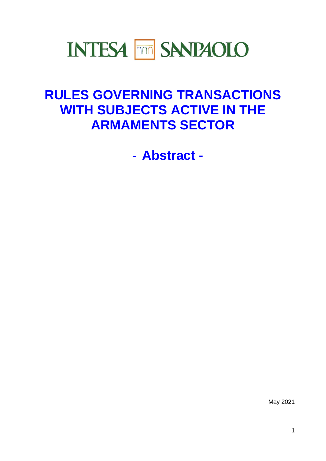# **INTESA MM SANPAOLO**

# **RULES GOVERNING TRANSACTIONS WITH SUBJECTS ACTIVE IN THE ARMAMENTS SECTOR**

- **Abstract -**

May 2021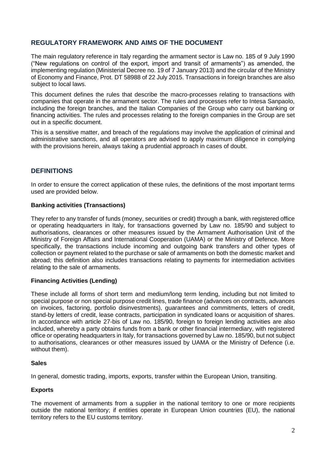# **REGULATORY FRAMEWORK AND AIMS OF THE DOCUMENT**

The main regulatory reference in Italy regarding the armament sector is Law no. 185 of 9 July 1990 ("New regulations on control of the export, import and transit of armaments") as amended, the implementing regulation (Ministerial Decree no. 19 of 7 January 2013) and the circular of the Ministry of Economy and Finance, Prot. DT 58988 of 22 July 2015. Transactions in foreign branches are also subject to local laws.

This document defines the rules that describe the macro-processes relating to transactions with companies that operate in the armament sector. The rules and processes refer to Intesa Sanpaolo, including the foreign branches, and the Italian Companies of the Group who carry out banking or financing activities. The rules and processes relating to the foreign companies in the Group are set out in a specific document.

This is a sensitive matter, and breach of the regulations may involve the application of criminal and administrative sanctions, and all operators are advised to apply maximum diligence in complying with the provisions herein, always taking a prudential approach in cases of doubt.

# **DEFINITIONS**

In order to ensure the correct application of these rules, the definitions of the most important terms used are provided below.

#### **Banking activities (Transactions)**

They refer to any transfer of funds (money, securities or credit) through a bank, with registered office or operating headquarters in Italy, for transactions governed by Law no. 185/90 and subject to authorisations, clearances or other measures issued by the Armament Authorisation Unit of the Ministry of Foreign Affairs and International Cooperation (UAMA) or the Ministry of Defence. More specifically, the transactions include incoming and outgoing bank transfers and other types of collection or payment related to the purchase or sale of armaments on both the domestic market and abroad; this definition also includes transactions relating to payments for intermediation activities relating to the sale of armaments.

#### **Financing Activities (Lending)**

These include all forms of short term and medium/long term lending, including but not limited to special purpose or non special purpose credit lines, trade finance (advances on contracts, advances on invoices, factoring, portfolio disinvestments), guarantees and commitments, letters of credit, stand-by letters of credit, lease contracts, participation in syndicated loans or acquisition of shares. In accordance with article 27-bis of Law no. 185/90, foreign to foreign lending activities are also included, whereby a party obtains funds from a bank or other financial intermediary, with registered office or operating headquarters in Italy, for transactions governed by Law no. 185/90, but not subject to authorisations, clearances or other measures issued by UAMA or the Ministry of Defence (i.e. without them).

#### **Sales**

In general, domestic trading, imports, exports, transfer within the European Union, transiting.

#### **Exports**

The movement of armaments from a supplier in the national territory to one or more recipients outside the national territory; if entities operate in European Union countries (EU), the national territory refers to the EU customs territory.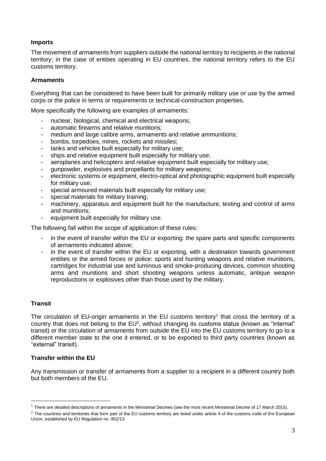#### **Imports**

The movement of armaments from suppliers outside the national territory to recipients in the national territory; in the case of entities operating in EU countries, the national territory refers to the EU customs territory.

#### **Armaments**

Everything that can be considered to have been built for primarily military use or use by the armed corps or the police in terms or requirements or technical-construction properties.

More specifically the following are examples of armaments:

- nuclear, biological, chemical and electrical weapons;
- automatic firearms and relative munitions;
- medium and large calibre arms, armaments and relative ammunitions;
- bombs, torpedoes, mines, rockets and missiles;
- tanks and vehicles built especially for military use;
- ships and relative equipment built especially for military use;
- aeroplanes and helicopters and relative equipment built especially for military use;
- qunpowder, explosives and propellants for military weapons;
- electronic systems or equipment, electro-optical and photographic equipment built especially for military use;
- special armoured materials built especially for military use;
- special materials for military training;
- machinery, apparatus and equipment built for the manufacture, testing and control of arms and munitions;
- equipment built especially for military use.

The following fall within the scope of application of these rules:

- in the event of transfer within the EU or exporting: the spare parts and specific components of armaments indicated above;
- in the event of transfer within the EU or exporting, with a destination towards government entities or the armed forces or police: sports and hunting weapons and relative munitions, cartridges for industrial use and luminous and smoke-producing devices, common shooting arms and munitions and short shooting weapons unless automatic, antique weapon reproductions or explosives other than those used by the military.

#### **Transit**

1

The circulation of EU-origin armaments in the EU customs territory<sup>1</sup> that cross the territory of a country that does not belong to the  $EU^2$ , without changing its customs status (known as "internal" transit) or the circulation of armaments from outside the EU into the EU customs territory to go to a different member state to the one it entered, or to be exported to third party countries (known as "external" transit).

#### **Transfer within the EU**

Any transmission or transfer of armaments from a supplier to a recipient in a different country both but both members of the EU.

 $1$  There are detailed descriptions of armaments in the Ministerial Decrees (see the most recent Ministerial Decree of 17 March 2015).

 $2$  The countries and territories that form part of the EU customs territory are listed under article 4 of the customs code of the European Union, established by EU Regulation no. 952/13.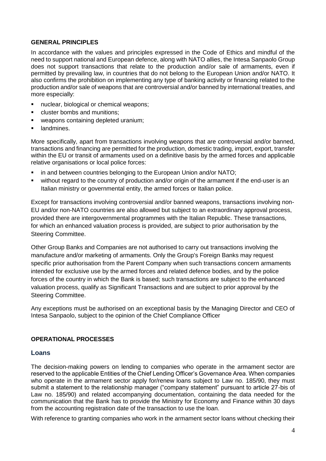#### **GENERAL PRINCIPLES**

In accordance with the values and principles expressed in the Code of Ethics and mindful of the need to support national and European defence, along with NATO allies, the Intesa Sanpaolo Group does not support transactions that relate to the production and/or sale of armaments, even if permitted by prevailing law, in countries that do not belong to the European Union and/or NATO. It also confirms the prohibition on implementing any type of banking activity or financing related to the production and/or sale of weapons that are controversial and/or banned by international treaties, and more especially:

- nuclear, biological or chemical weapons;
- cluster bombs and munitions:
- weapons containing depleted uranium;
- landmines.

More specifically, apart from transactions involving weapons that are controversial and/or banned, transactions and financing are permitted for the production, domestic trading, import, export, transfer within the EU or transit of armaments used on a definitive basis by the armed forces and applicable relative organisations or local police forces:

- in and between countries belonging to the European Union and/or NATO;
- without regard to the country of production and/or origin of the armament if the end-user is an Italian ministry or governmental entity, the armed forces or Italian police.

Except for transactions involving controversial and/or banned weapons, transactions involving non-EU and/or non-NATO countries are also allowed but subject to an extraordinary approval process, provided there are intergovernmental programmes with the Italian Republic. These transactions, for which an enhanced valuation process is provided, are subject to prior authorisation by the Steering Committee.

Other Group Banks and Companies are not authorised to carry out transactions involving the manufacture and/or marketing of armaments. Only the Group's Foreign Banks may request specific prior authorisation from the Parent Company when such transactions concern armaments intended for exclusive use by the armed forces and related defence bodies, and by the police forces of the country in which the Bank is based; such transactions are subject to the enhanced valuation process, qualify as Significant Transactions and are subject to prior approval by the Steering Committee.

Any exceptions must be authorised on an exceptional basis by the Managing Director and CEO of Intesa Sanpaolo, subject to the opinion of the Chief Compliance Officer

#### **OPERATIONAL PROCESSES**

#### **Loans**

The decision-making powers on lending to companies who operate in the armament sector are reserved to the applicable Entities of the Chief Lending Officer's Governance Area. When companies who operate in the armament sector apply for/renew loans subject to Law no. 185/90, they must submit a statement to the relationship manager ("company statement" pursuant to article 27-bis of Law no. 185/90) and related accompanying documentation, containing the data needed for the communication that the Bank has to provide the Ministry for Economy and Finance within 30 days from the accounting registration date of the transaction to use the loan.

With reference to granting companies who work in the armament sector loans without checking their